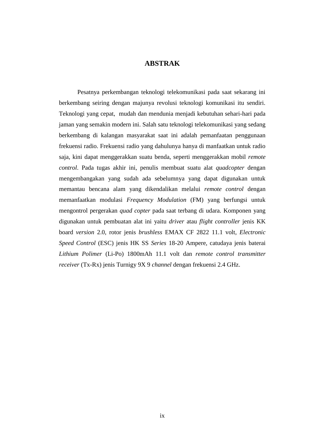## **ABSTRAK**

Pesatnya perkembangan teknologi telekomunikasi pada saat sekarang ini berkembang seiring dengan majunya revolusi teknologi komunikasi itu sendiri. Teknologi yang cepat, mudah dan mendunia menjadi kebutuhan sehari-hari pada jaman yang semakin modern ini. Salah satu teknologi telekomunikasi yang sedang berkembang di kalangan masyarakat saat ini adalah pemanfaatan penggunaan frekuensi radio. Frekuensi radio yang dahulunya hanya di manfaatkan untuk radio saja, kini dapat menggerakkan suatu benda, seperti menggerakkan mobil *remote control*. Pada tugas akhir ini, penulis membuat suatu alat *quadcopter* dengan mengembangakan yang sudah ada sebelumnya yang dapat digunakan untuk memantau bencana alam yang dikendalikan melalui *remote control* dengan memanfaatkan modulasi *Frequency Modulation* (FM) yang berfungsi untuk mengontrol pergerakan *quad copter* pada saat terbang di udara. Komponen yang digunakan untuk pembuatan alat ini yaitu *driver* atau *flight controller* jenis KK board *version* 2.0, rotor jenis *brushless* EMAX CF 2822 11.1 volt, *Electronic Speed Control* (ESC) jenis HK SS *Series* 18-20 Ampere, catudaya jenis baterai *Lithium Polimer* (Li-Po) 1800mAh 11.1 volt dan *remote control transmitter receiver* (Tx-Rx) jenis Turnigy 9X 9 *channel* dengan frekuensi 2.4 GHz.